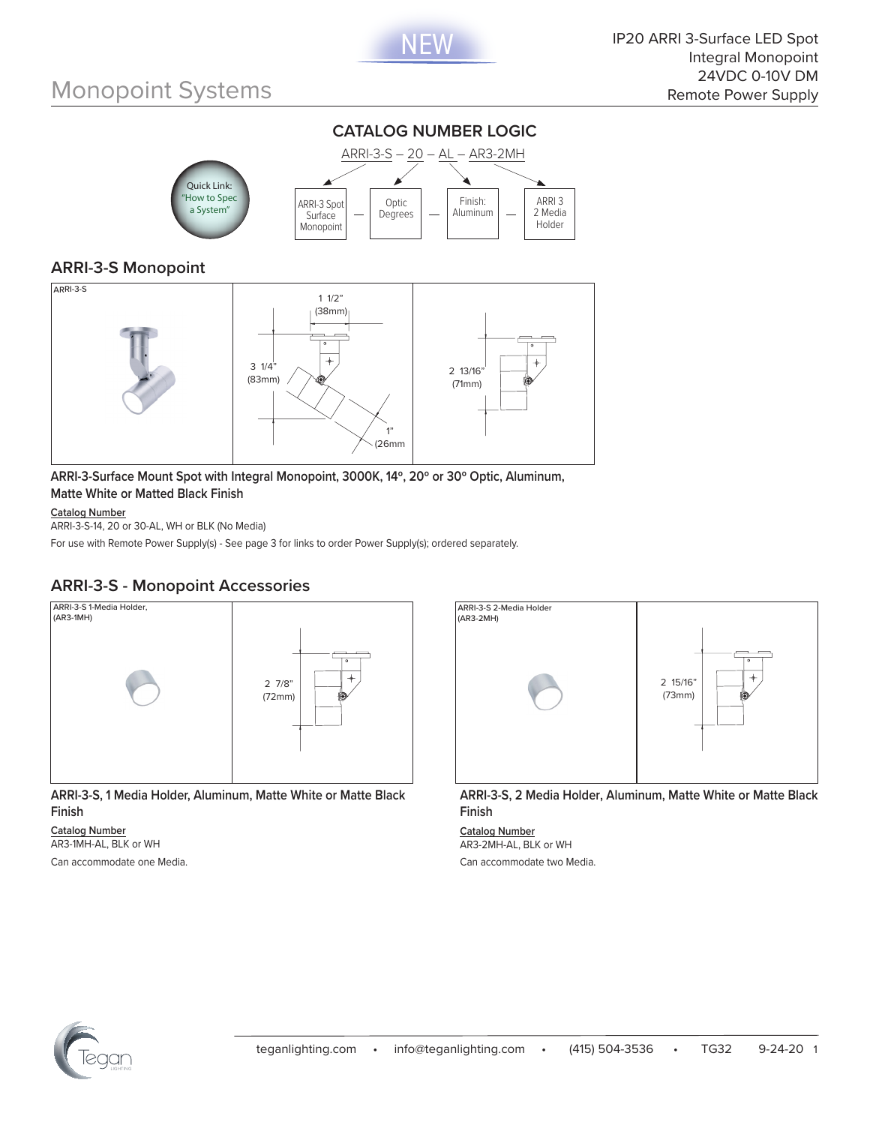



### **ARRI-3-S Monopoint**



**ARRI-3-Surface Mount Spot with Integral Monopoint, 3000K, 14º, 20º or 30º Optic, Aluminum, Matte White or Matted Black Finish**

#### **Catalog Number**

ARRI-3-S-14, 20 or 30-AL, WH or BLK (No Media)

For use with Remote Power Supply(s) - See page 3 for links to order Power Supply(s); ordered separately.

#### **ARRI-3-S - Monopoint Accessories**



**ARRI-3-S, 1 Media Holder, Aluminum, Matte White or Matte Black Finish**

**Catalog Number** AR3-1MH-AL, BLK or WH Can accommodate one Media.



**ARRI-3-S, 2 Media Holder, Aluminum, Matte White or Matte Black Finish**

**Catalog Number** AR3-2MH-AL, BLK or WH Can accommodate two Media.

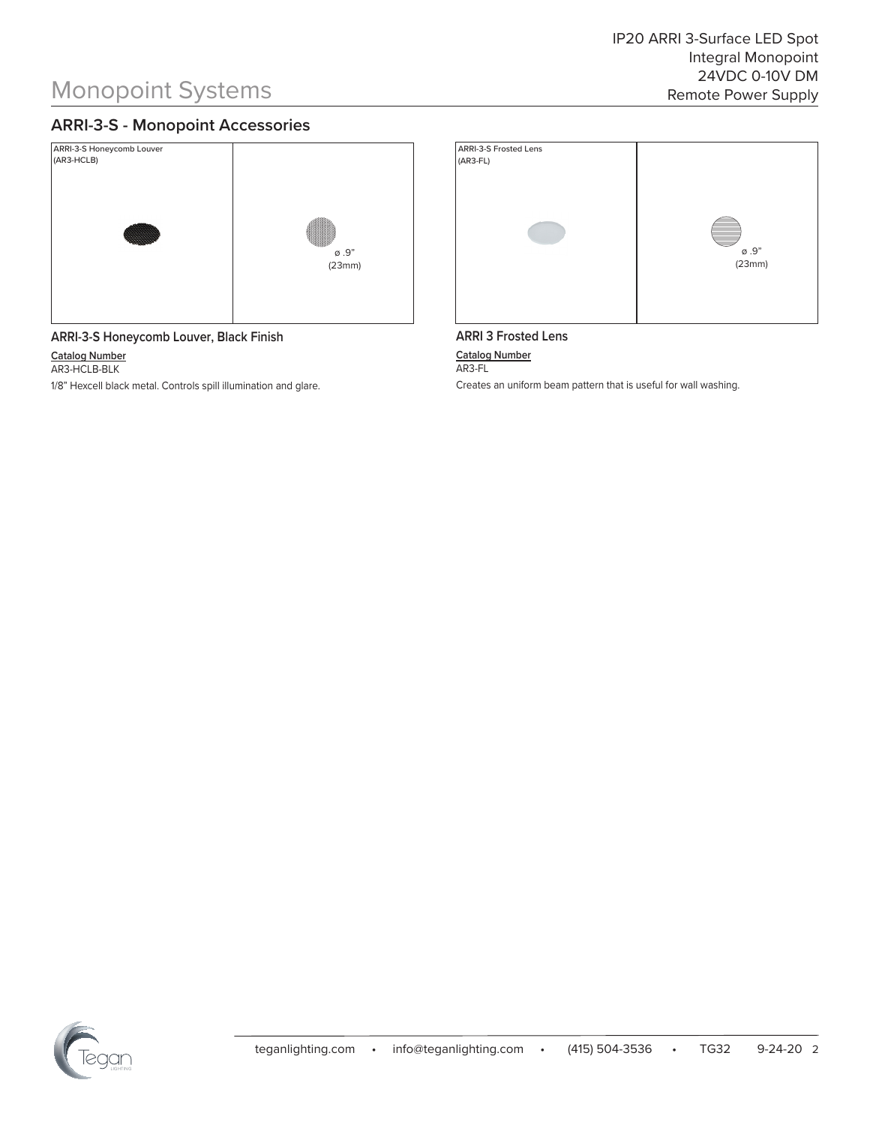### **ARRI-3-S - Monopoint Accessories**





**Catalog Number**

AR3-HCLB-BLK

1/8" Hexcell black metal. Controls spill illumination and glare.



#### **ARRI 3 Frosted Lens**

**Catalog Number** AR3-FL

Creates an uniform beam pattern that is useful for wall washing.

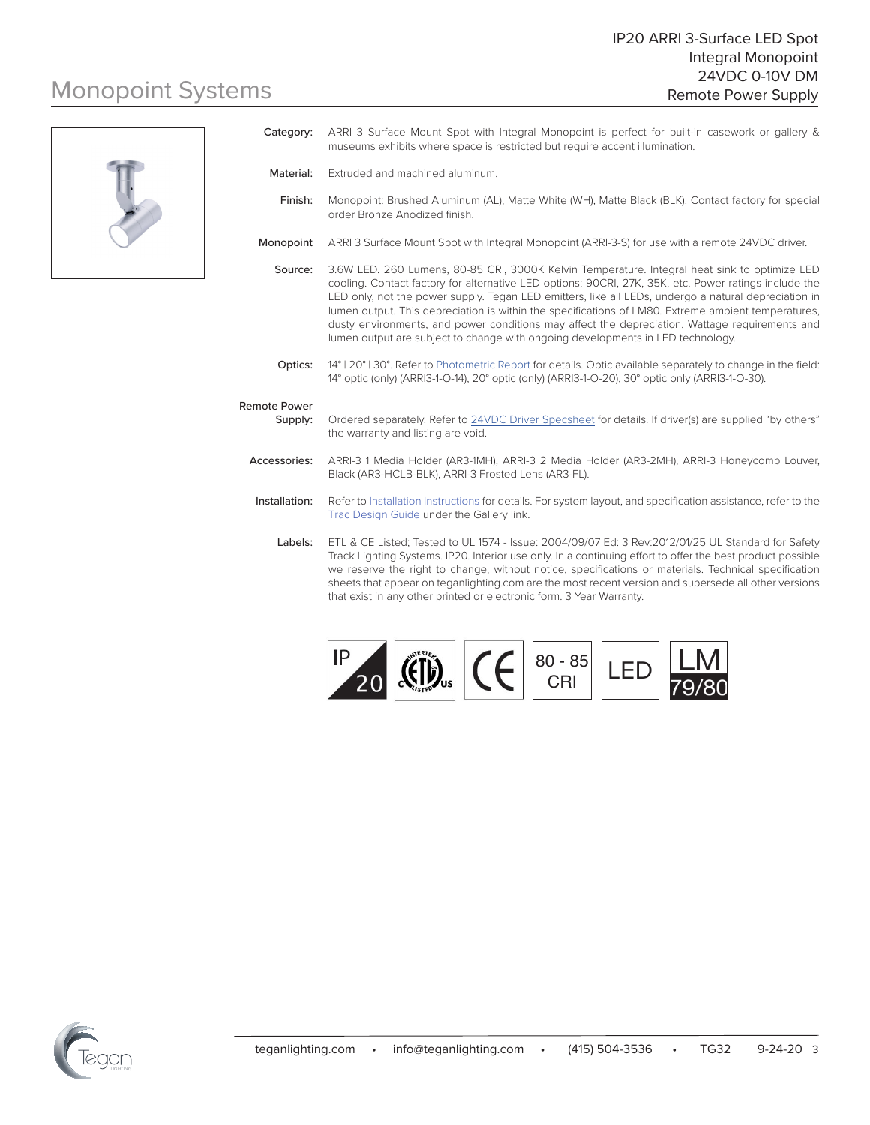

| Category:                      | ARRI 3 Surface Mount Spot with Integral Monopoint is perfect for built-in casework or gallery &<br>museums exhibits where space is restricted but require accent illumination.                                                                                                                                                                                                                                                                                                                                                                                                                             |
|--------------------------------|------------------------------------------------------------------------------------------------------------------------------------------------------------------------------------------------------------------------------------------------------------------------------------------------------------------------------------------------------------------------------------------------------------------------------------------------------------------------------------------------------------------------------------------------------------------------------------------------------------|
| Material:                      | Extruded and machined aluminum.                                                                                                                                                                                                                                                                                                                                                                                                                                                                                                                                                                            |
| Finish:                        | Monopoint: Brushed Aluminum (AL), Matte White (WH), Matte Black (BLK). Contact factory for special<br>order Bronze Anodized finish.                                                                                                                                                                                                                                                                                                                                                                                                                                                                        |
| Monopoint                      | ARRI 3 Surface Mount Spot with Integral Monopoint (ARRI-3-S) for use with a remote 24VDC driver.                                                                                                                                                                                                                                                                                                                                                                                                                                                                                                           |
| Source:                        | 3.6W LED. 260 Lumens, 80-85 CRI, 3000K Kelvin Temperature. Integral heat sink to optimize LED<br>cooling. Contact factory for alternative LED options; 90CRI, 27K, 35K, etc. Power ratings include the<br>LED only, not the power supply. Tegan LED emitters, like all LEDs, undergo a natural depreciation in<br>lumen output. This depreciation is within the specifications of LM80. Extreme ambient temperatures,<br>dusty environments, and power conditions may affect the depreciation. Wattage requirements and<br>lumen output are subject to change with ongoing developments in LED technology. |
| Optics:                        | 14°   20°   30°. Refer to Photometric Report for details. Optic available separately to change in the field:<br>14° optic (only) (ARRI3-1-O-14), 20° optic (only) (ARRI3-1-O-20), 30° optic only (ARRI3-1-O-30).                                                                                                                                                                                                                                                                                                                                                                                           |
| <b>Remote Power</b><br>Supply: | Ordered separately. Refer to 24VDC Driver Specsheet for details. If driver(s) are supplied "by others"<br>the warranty and listing are void.                                                                                                                                                                                                                                                                                                                                                                                                                                                               |
| Accessories:                   | ARRI-3 1 Media Holder (AR3-1MH), ARRI-3 2 Media Holder (AR3-2MH), ARRI-3 Honeycomb Louver,<br>Black (AR3-HCLB-BLK), ARRI-3 Frosted Lens (AR3-FL).                                                                                                                                                                                                                                                                                                                                                                                                                                                          |
| Installation:                  | Refer to Installation Instructions for details. For system layout, and specification assistance, refer to the<br>Trac Design Guide under the Gallery link.                                                                                                                                                                                                                                                                                                                                                                                                                                                 |
| Labels:                        | ETL & CE Listed; Tested to UL 1574 - Issue: 2004/09/07 Ed: 3 Rev: 2012/01/25 UL Standard for Safety<br>Track Lighting Systems. IP20. Interior use only. In a continuing effort to offer the best product possible<br>we reserve the right to change, without notice, specifications or materials. Technical specification                                                                                                                                                                                                                                                                                  |



that exist in any other printed or electronic form. 3 Year Warranty.

sheets that appear on teganlighting.com are the most recent version and supersede all other versions

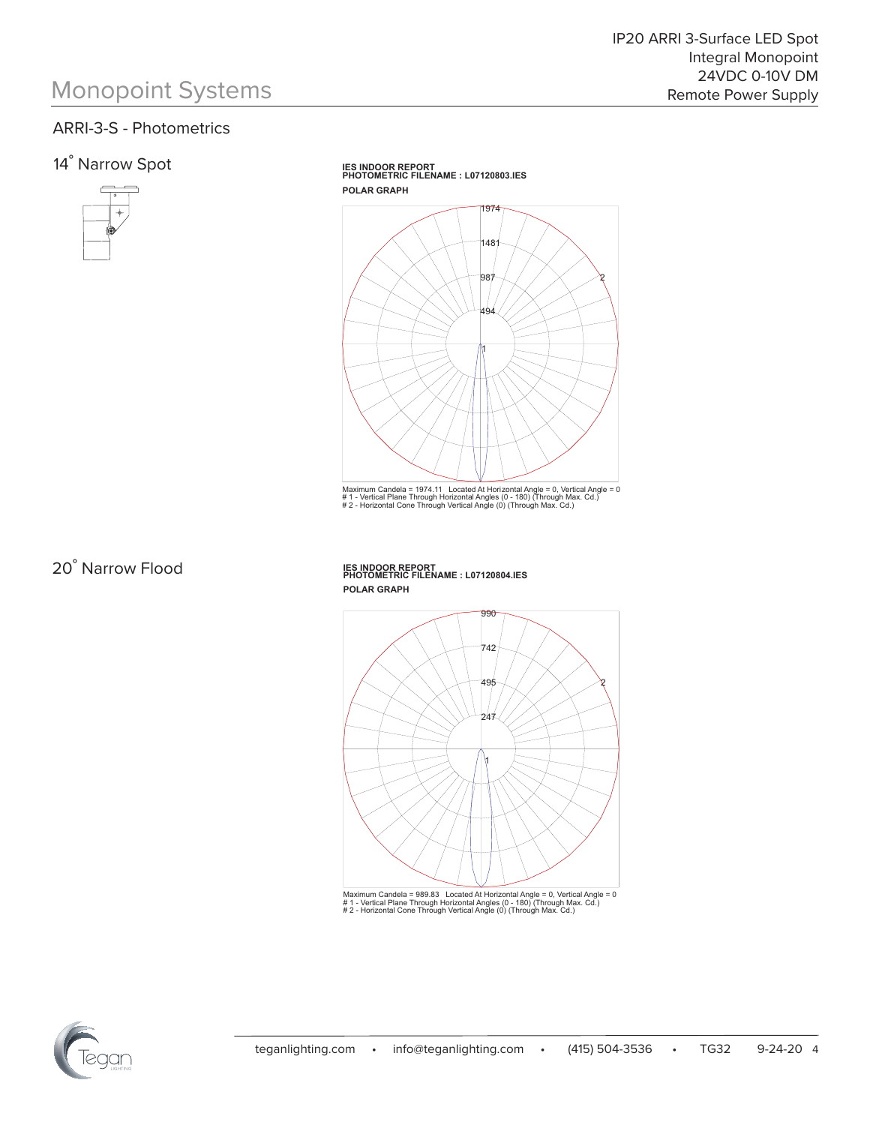### ARRI-3-S - Photometrics

### 14˚ Narrow Spot



**IES INDOOR REPORT PHOTOMETRIC FILENAME : L07120803.IES POLAR GRAPH**



Maximum Candela = 1974.11 Located At Horizontal Angle = 0, Vertical Angle = 0<br># 1 - Vertical Plane Through Horizontal Angles (0 - 180) (Through Max. Cd.)<br># 2 - Horizontal Cone Through Vertical Angle (0) (Through Max. Cd



**IES INDOOR REPORT PHOTOMETRIC FILENAME : L07120804.IES POLAR GRAPH**



Maximum Candela = 989.83 Located At Horizontal Angle = 0, Vertical Angle = 0<br># 1 - Vertical Plane Through Horizontal Angles (0 - 180) (Through Max. Cd.)<br># 2 - Horizontal Cone Through Vertical Angle (0) (Through Max. Cd.)